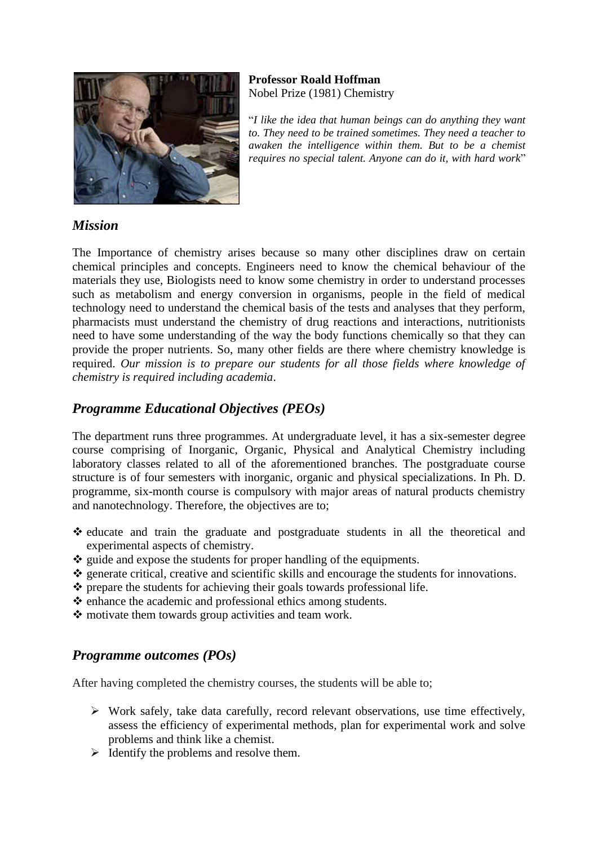

#### **Professor Roald Hoffman** Nobel Prize (1981) Chemistry

"*I like the idea that human beings can do anything they want to. They need to be trained sometimes. They need a teacher to awaken the intelligence within them. But to be a chemist requires no special talent. Anyone can do it, with hard work*"

### *Mission*

The Importance of chemistry arises because so many other disciplines draw on certain chemical principles and concepts. Engineers need to know the chemical behaviour of the materials they use, Biologists need to know some chemistry in order to understand processes such as metabolism and energy conversion in organisms, people in the field of medical technology need to understand the chemical basis of the tests and analyses that they perform, pharmacists must understand the chemistry of drug reactions and interactions, nutritionists need to have some understanding of the way the body functions chemically so that they can provide the proper nutrients. So, many other fields are there where chemistry knowledge is required. *Our mission is to prepare our students for all those fields where knowledge of chemistry is required including academia*.

# *Programme Educational Objectives (PEOs)*

The department runs three programmes. At undergraduate level, it has a six-semester degree course comprising of Inorganic, Organic, Physical and Analytical Chemistry including laboratory classes related to all of the aforementioned branches. The postgraduate course structure is of four semesters with inorganic, organic and physical specializations. In Ph. D. programme, six-month course is compulsory with major areas of natural products chemistry and nanotechnology. Therefore, the objectives are to;

- ❖ educate and train the graduate and postgraduate students in all the theoretical and experimental aspects of chemistry.
- ❖ guide and expose the students for proper handling of the equipments.
- ❖ generate critical, creative and scientific skills and encourage the students for innovations.
- ❖ prepare the students for achieving their goals towards professional life.
- ❖ enhance the academic and professional ethics among students.
- ❖ motivate them towards group activities and team work.

## *Programme outcomes (POs)*

After having completed the chemistry courses, the students will be able to;

- $\triangleright$  Work safely, take data carefully, record relevant observations, use time effectively, assess the efficiency of experimental methods, plan for experimental work and solve problems and think like a chemist.
- $\triangleright$  Identify the problems and resolve them.